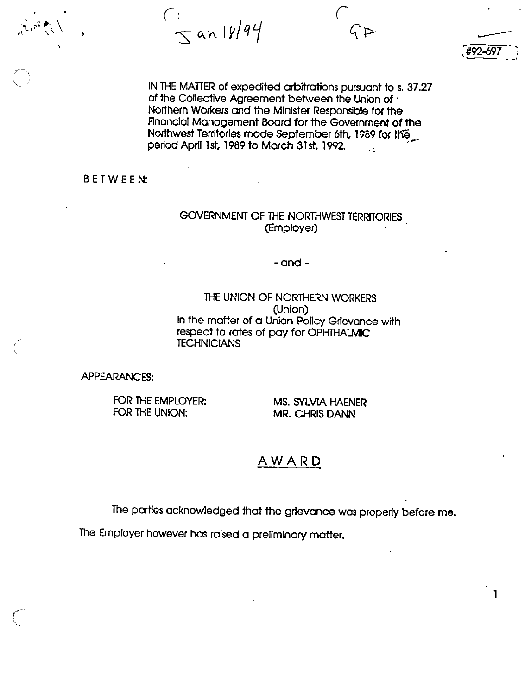$S$ an 18/94

IN THE MATTER of expedited arbitrations pursuant to s. 37.27 of the Collective Agreement between the Union of  $\cdot$ Northern Workers and the Minister Responsible for the Financial Management Board for the Government of the Northwest Territories made September 6th, 1959 for the' . period April 1st, 1989 to March 31st, 1992.  $\mathbb{R}^2$ 

Jf92-697

 $\mathbf{1}$ 

BETWEEN:

 $\left( \begin{array}{cc} 1 & 1 \end{array} \right)$ v

 $\zeta$ 

## GOVERNMENT OF THE NORTHWEST TERRITORIES (Employer)

- and -

THE UNION OF NORTHERN WORKERS (Union) In the matter of a Union Policy Grievance with respect to rates of pay for OPHTHALMIC **TECHNICIANS** 

APPEARANCES;

FOR THE EMPLOYER: MS. SYLVIA HAENER<br>FOR THE UNION: MR. CHRIS DANN

MR. CHRIS DANN

## <u>AWARD</u>

The parties acknowledged that the grievance was properly before me.

The Employer however has raised a preliminary matter.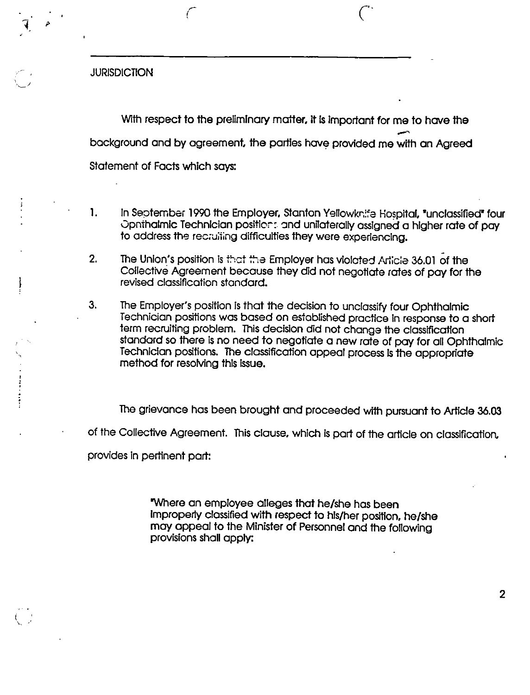**JURISDICTION** 

V

With respect to the preliminary matter, it is important for me to have the background and by agreement, the parties have provided me with an Agreed Statement of Facts which says:

 $\zeta$ 

- 1. In September 1990 the Employer, Stanton Yellowknife Hospital, "unclassified\* four Opnthalmic Technician positlcr: and unilaterally assigned a higher rate of pay to address the recruiting difficulties they were experiencing.
- 2. The Union's position is that the Employer has violated Article 36.01 of the Collective Agreement because they did not negotiate rates of pay for the revised classification standard.
- 3. The Employer's position is that the decision to unclassify four Ophthalmic Technician positions was based on established practice In response to a short term recruiting problem. This decision did not change the classification standard so there is no need to negotiate a new rate of pay for all Ophthalmic Technician positions. The classification appeal process is the appropriate method for resolving this issue.

The grievance has been brought and proceeded with pursuant to Article 36.03 of the Collective Agreement. This clause, which is part of the article on classification, provides In pertinent part:

> "Where an employee alleges that he/she has been Improperly classified with respect to his/her position, he/she may appeal to the Minister of Personnel and the following provisions shall apply: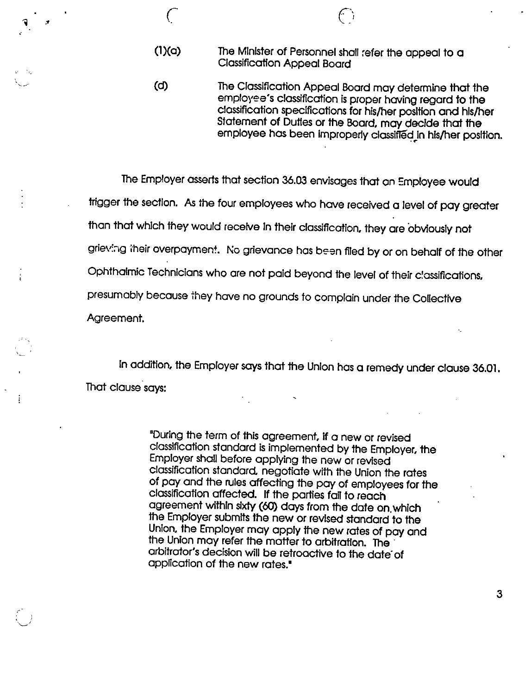(l)(a) The Minister of Personnel shall refer the appeal to a Classification Appeal Board

 $\epsilon$  or or or or or or  $\epsilon$ 

(d) The Classification Appeal Board may determine that the employee's classification is proper having regard to the classification specifications for his/her position and his/her Statement of Duties or the Board, may decide that the employee has been improperly classlfledjn his/her position.

The Employer asserts that section 36.03 envisages that an Employee would trigger the section. As the four employees who have received a level of pay greater than that which they would receive In their classification, they are obviously not grieving their overpayment. No grievance has been filed by or on behalf of the other Ophthalmic Technicians who are not paid beyond the level of their classifications, presumobly because they have no grounds to complain under the Collective Agreement.

In addition, the Employer soys that the Union has a remedy under clause 36.01. That clause says:

÷

"During the term of this agreement. If a new or revised classification standard is implemented bythe Employer, the Employer shall before applying the new or revised classification standard, negotiate with the Union the rates of pay and the rules affecting the pay of employees for the classification affected. If the parties fail to reach agreement within sixty (60) days from the date on.which the Employer submits the new or revised standard to the Union, the Employer may apply the new rates of pay and the Union may refer the matter to arbitration. The arbitrator's decision will be retroactive to the date of application of the new rates."

3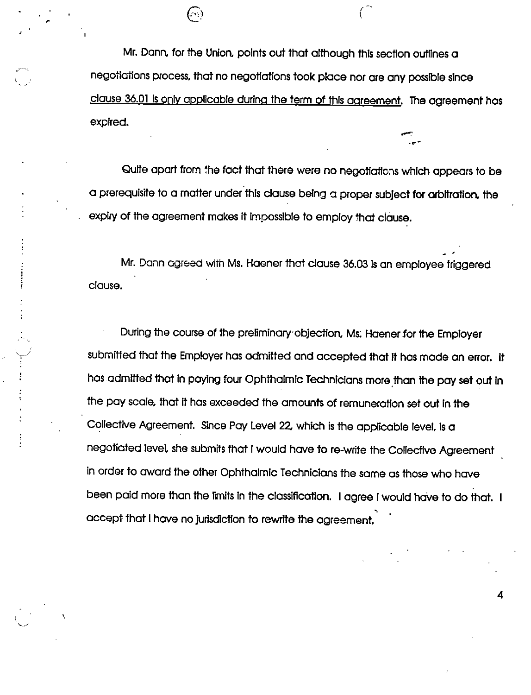Mr. Dann, for the Union, points out that although this section outlines a negoticiiions process, that no negotiations took place nor are any possible since clause 36.01 is only applicable during the term of this agreement. The agreement has expired.

Quite apart from the fact that there were no negotiations which appears to be a prerequisite to a matter under this clause being a proper subject for arbitration, the expiry of the agreement makes It impossible to employ that clause.

Mr. Dann agreed with Ms. Haener that clause 36.03 is an employee triggered clause.

During the course of the preliminary objection, Ms; Haener for the Employer submitted that the Employer has admitted and accepted that It has made an error. It has admitted that in paying four Ophthalmic Technicians more than the pay set out in the pay scale, that it has exceeded the amounts of remuneration set out in the Collective Agreement. Since Pay Level 2Z which is the applicable level. Is a negotiated level, she submits that Iwould have to re-write the Collective Agreement in order to award the other Ophthalmic Technicians the same as those who have been paid more than the limits in the classification. I agree I would have to do that. I accept that 1have no jurisdiction to rewrite the agreement.

4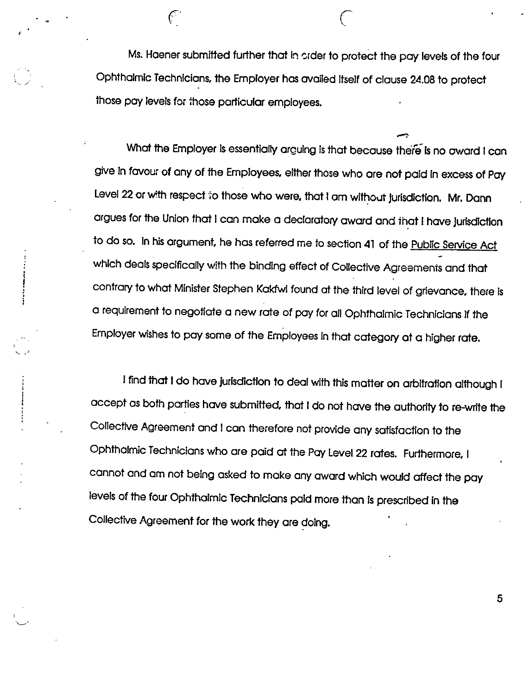Ms. Haener submitted further that in order to protect the pay levels of the four Ophthalmic Technicians, the Employer has availed Itself of clause 24.08 to protect those pay levels for those particular employees.

f reduced by  $\mathcal{C}$ 

What the Employer Is essentially arguing is that because there Is no oward I can give In favour of any of the Employees, either those who are not paid in excess of Pay Level 22 or with respect to those who were, that I am without jurisdiction. Mr. Dann argues for the Union that I can make a declaratory award and that I have jurisdiction to do so. In his argument, he has referred me to section 41 of the Public Service Act which deals specifically with the binding effect of Collective Agreements and that contrary towhat Minister Stephen Kakfwi found at the third level of grievance, there is a requirement to negotiate a new rate of pay for ail Ophthalmic Technicians if the Employer wishes to pay some of the Employees in that category at a higher rate.

Ifind that Ido have jurisdiction to deal with this matter on arbitration although I accept as both parties have submitted, that I do not have the authority to re-write the Collective Agreement and I can therefore not provide any satisfaction to the Ophthalmic Technicians who are paid at the Pay Level 22 rates. Furthermore, I cannot and am not being asked tomake any award which would affect the pay levels of the four Ophthalmic Technicians paid more than is prescribed in the Collective Agreement for the work they are doing.

5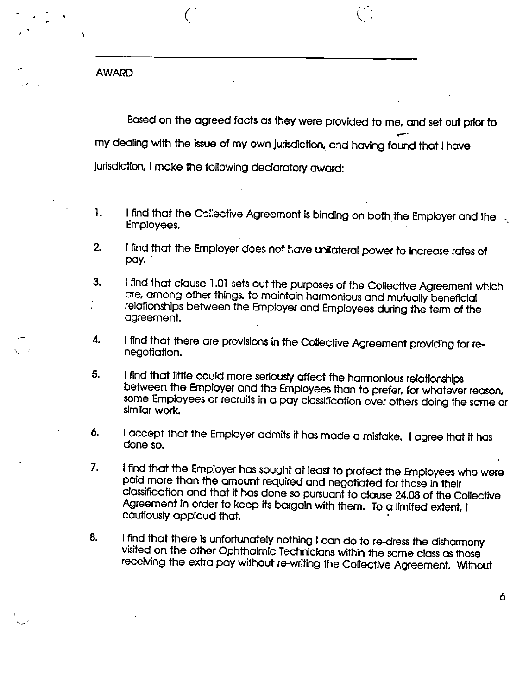AWARD

 $\overline{\mathcal{L}}$ 

Based on the agreed facts as they were provided to me, and set out prior to my dealing with the issue of my own jurisdiction, and having found that I have Jurisdiction, Imake the following declaratory award:

- 1. Ifind that the Ccliective Agreement is binding on both the Employer and the Employees.
- 2. !find that the Employer does not have unilateral power to increase rates of pay.
- 3. I find that clause 1.01 sets out the purposes of the Coliective Agreement which are, among other things, to maintain harmonious and mutually beneficial relationships between the Employer and Employees during the term of the agreement.
- 4. I find that there are provisions in the Collective Agreement providing for renegotiation.
- 5. I find that little could more seriously affect the harmonious relationships between the Employer and the Employees than to prefer, for whatever reason, some Employees or recruits in a pay classification over others doing the same or similar work.
- 6. I accept that the Employer admits it has made a mistake. I agree that it has done so.
- 7. Ifind that the Employer has sought at least to protect the Employees who were paid more than the amount required and negotiated for those in their classificafion and that it has done so pursuant to clause 24.08 of the Collective Agreement In order to keep its bargainwith them. To a limited extent, I cautfousfy applaud that.
- 8. I find that there is unfortunately nothing I can do to re-dress the disharmony visited on the other Ophthalmic Technicians within the same class as those receiving the extra pay without re-writing the Collective Agreement. Without